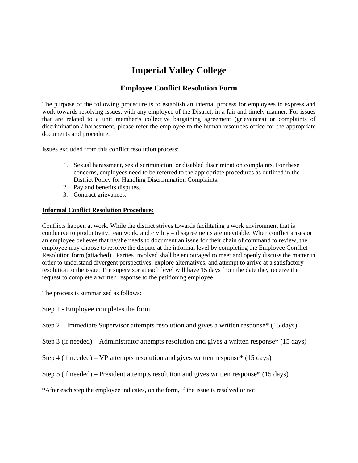## **Imperial Valley College**

## **Employee Conflict Resolution Form**

The purpose of the following procedure is to establish an internal process for employees to express and work towards resolving issues, with any employee of the District, in a fair and timely manner. For issues that are related to a unit member's collective bargaining agreement (grievances) or complaints of discrimination / harassment, please refer the employee to the human resources office for the appropriate documents and procedure.

Issues excluded from this conflict resolution process:

- 1. Sexual harassment, sex discrimination, or disabled discrimination complaints. For these concerns, employees need to be referred to the appropriate procedures as outlined in the District Policy for Handling Discrimination Complaints.
- 2. Pay and benefits disputes.
- 3. Contract grievances.

## **Informal Conflict Resolution Procedure:**

Conflicts happen at work. While the district strives towards facilitating a work environment that is conducive to productivity, teamwork, and civility – disagreements are inevitable. When conflict arises or an employee believes that he/she needs to document an issue for their chain of command to review, the employee may choose to resolve the dispute at the informal level by completing the Employee Conflict Resolution form (attached). Parties involved shall be encouraged to meet and openly discuss the matter in order to understand divergent perspectives, explore alternatives, and attempt to arrive at a satisfactory resolution to the issue. The supervisor at each level will have  $15 \text{ days}$  from the date they receive the request to complete a written response to the petitioning employee.

The process is summarized as follows:

Step 1 - Employee completes the form

Step 2 – Immediate Supervisor attempts resolution and gives a written response\* (15 days)

Step 3 (if needed) – Administrator attempts resolution and gives a written response\* (15 days)

Step 4 (if needed) – VP attempts resolution and gives written response\* (15 days)

Step 5 (if needed) – President attempts resolution and gives written response\* (15 days)

\*After each step the employee indicates, on the form, if the issue is resolved or not.